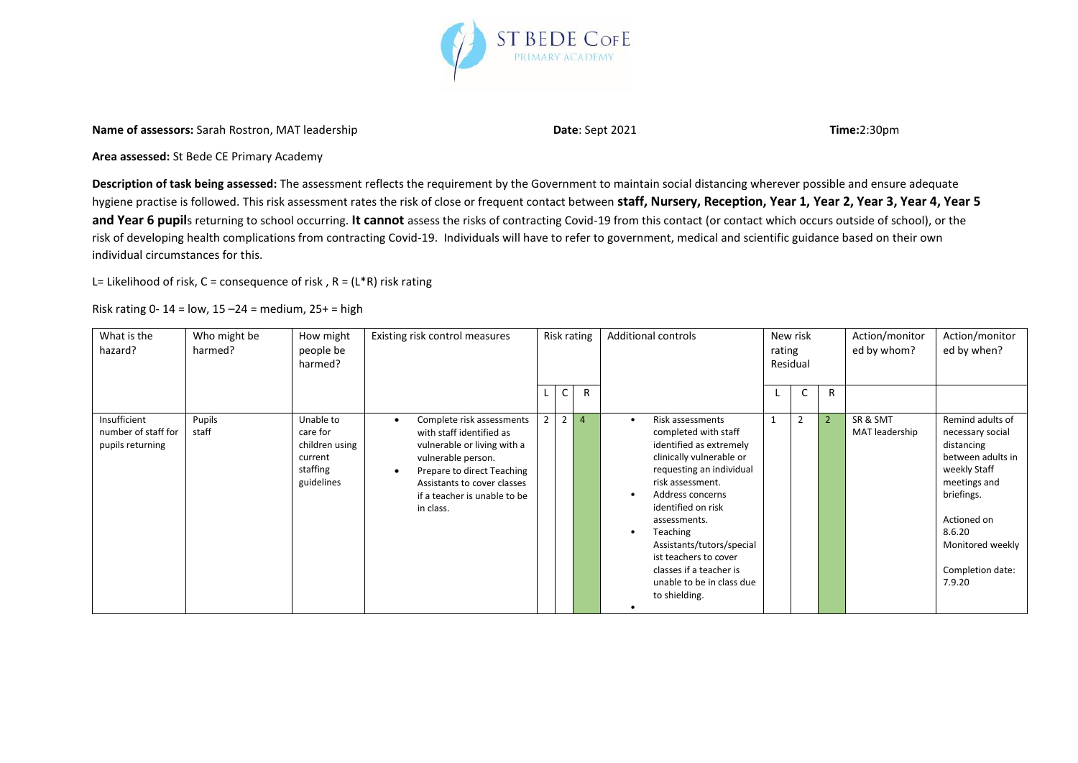

**Name of assessors:** Sarah Rostron, MAT leadership **Date: Sept 2021 Date: Sept 2021 Time:2:30pm** 

**Area assessed:** St Bede CE Primary Academy

**Description of task being assessed:** The assessment reflects the requirement by the Government to maintain social distancing wherever possible and ensure adequate hygiene practise is followed. This risk assessment rates the risk of close or frequent contact between **staff, Nursery, Reception, Year 1, Year 2, Year 3, Year 4, Year 5**  and Year 6 pupils returning to school occurring. It cannot assess the risks of contracting Covid-19 from this contact (or contact which occurs outside of school), or the risk of developing health complications from contracting Covid-19. Individuals will have to refer to government, medical and scientific guidance based on their own individual circumstances for this.

L= Likelihood of risk,  $C =$  consequence of risk,  $R = (L^*R)$  risk rating

Risk rating 0-14 =  $low$ , 15 -24 = medium, 25+ = high

| What is the<br>hazard?                                  | Who might be<br>harmed? | How might<br>people be<br>harmed?                                            | Existing risk control measures                                                                                                                                                                                                                 |                |              | Risk rating    | <b>Additional controls</b>                                                                                                                                                                                                                                                                                                                           | rating | New risk<br>Residual |                | Action/monitor<br>ed by whom? | Action/monitor<br>ed by when?                                                                                                                                                                    |
|---------------------------------------------------------|-------------------------|------------------------------------------------------------------------------|------------------------------------------------------------------------------------------------------------------------------------------------------------------------------------------------------------------------------------------------|----------------|--------------|----------------|------------------------------------------------------------------------------------------------------------------------------------------------------------------------------------------------------------------------------------------------------------------------------------------------------------------------------------------------------|--------|----------------------|----------------|-------------------------------|--------------------------------------------------------------------------------------------------------------------------------------------------------------------------------------------------|
|                                                         |                         |                                                                              |                                                                                                                                                                                                                                                |                | $\mathsf{C}$ | R              |                                                                                                                                                                                                                                                                                                                                                      |        |                      | R              |                               |                                                                                                                                                                                                  |
| Insufficient<br>number of staff for<br>pupils returning | Pupils<br>staff         | Unable to<br>care for<br>children using<br>current<br>staffing<br>guidelines | Complete risk assessments<br>$\bullet$<br>with staff identified as<br>vulnerable or living with a<br>vulnerable person.<br>Prepare to direct Teaching<br>$\bullet$<br>Assistants to cover classes<br>if a teacher is unable to be<br>in class. | $\overline{2}$ | 2            | $\overline{4}$ | Risk assessments<br>completed with staff<br>identified as extremely<br>clinically vulnerable or<br>requesting an individual<br>risk assessment.<br>Address concerns<br>identified on risk<br>assessments.<br>Teaching<br>Assistants/tutors/special<br>ist teachers to cover<br>classes if a teacher is<br>unable to be in class due<br>to shielding. |        | $\overline{2}$       | $\overline{2}$ | SR & SMT<br>MAT leadership    | Remind adults of<br>necessary social<br>distancing<br>between adults in<br>weekly Staff<br>meetings and<br>briefings.<br>Actioned on<br>8.6.20<br>Monitored weekly<br>Completion date:<br>7.9.20 |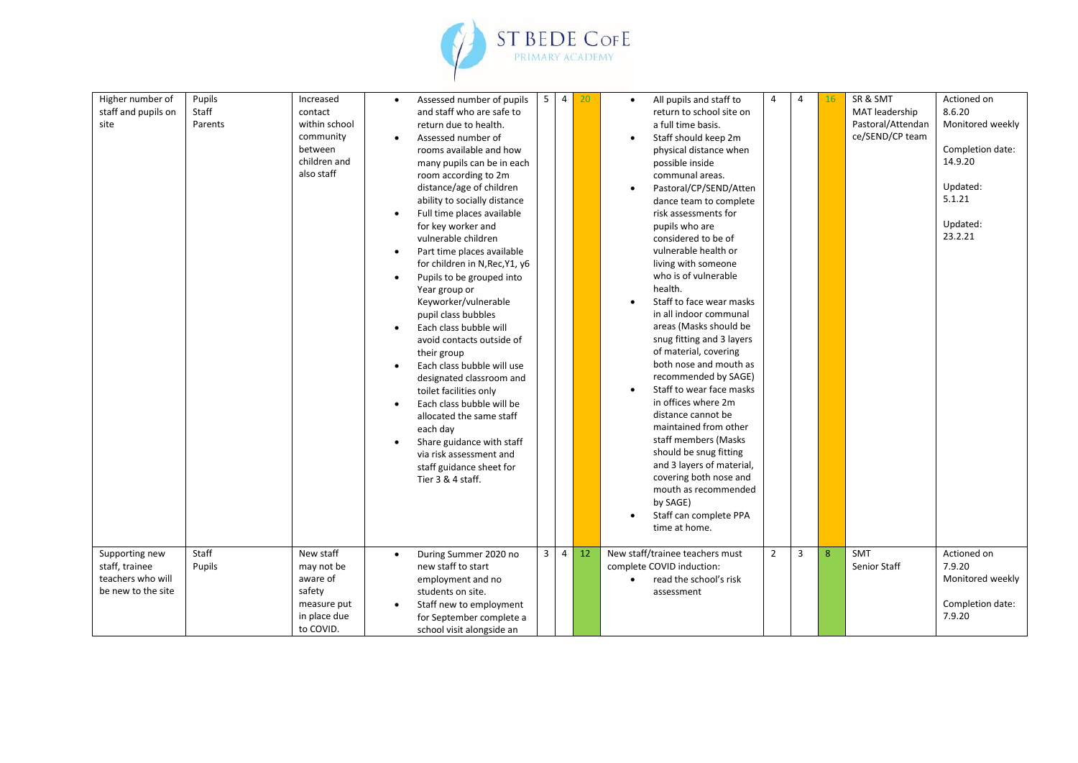

| Higher number of<br>staff and pupils on<br>site                             | Pupils<br>Staff<br>Parents | Increased<br>contact<br>within school<br>community<br>between<br>children and<br>also staff | $\bullet$<br>$\bullet$<br>$\bullet$<br>$\bullet$<br>$\bullet$<br>$\bullet$<br>$\bullet$<br>$\bullet$ | Assessed number of pupils<br>and staff who are safe to<br>return due to health.<br>Assessed number of<br>rooms available and how<br>many pupils can be in each<br>room according to 2m<br>distance/age of children<br>ability to socially distance<br>Full time places available<br>for key worker and<br>vulnerable children<br>Part time places available<br>for children in N, Rec, Y1, y6<br>Pupils to be grouped into<br>Year group or<br>Keyworker/vulnerable<br>pupil class bubbles<br>Each class bubble will<br>avoid contacts outside of<br>their group<br>Each class bubble will use<br>designated classroom and<br>toilet facilities only<br>Each class bubble will be<br>allocated the same staff<br>each day<br>Share guidance with staff<br>via risk assessment and<br>staff guidance sheet for<br>Tier 3 & 4 staff. | 5 <sub>1</sub> | $\overline{4}$ | 20 | All pupils and staff to<br>$\bullet$<br>return to school site on<br>a full time basis.<br>Staff should keep 2m<br>physical distance when<br>possible inside<br>communal areas.<br>Pastoral/CP/SEND/Atten<br>dance team to complete<br>risk assessments for<br>pupils who are<br>considered to be of<br>vulnerable health or<br>living with someone<br>who is of vulnerable<br>health.<br>Staff to face wear masks<br>in all indoor communal<br>areas (Masks should be<br>snug fitting and 3 layers<br>of material, covering<br>both nose and mouth as<br>recommended by SAGE)<br>Staff to wear face masks<br>in offices where 2m<br>distance cannot be<br>maintained from other<br>staff members (Masks<br>should be snug fitting<br>and 3 layers of material,<br>covering both nose and<br>mouth as recommended<br>by SAGE) | 4              | $\overline{4}$ | 16           | SR & SMT<br>MAT leadership<br>Pastoral/Attendan<br>ce/SEND/CP team | Actioned on<br>8.6.20<br>Monitored weekly<br>Completion date:<br>14.9.20<br>Updated:<br>5.1.21<br>Updated:<br>23.2.21 |
|-----------------------------------------------------------------------------|----------------------------|---------------------------------------------------------------------------------------------|------------------------------------------------------------------------------------------------------|------------------------------------------------------------------------------------------------------------------------------------------------------------------------------------------------------------------------------------------------------------------------------------------------------------------------------------------------------------------------------------------------------------------------------------------------------------------------------------------------------------------------------------------------------------------------------------------------------------------------------------------------------------------------------------------------------------------------------------------------------------------------------------------------------------------------------------|----------------|----------------|----|------------------------------------------------------------------------------------------------------------------------------------------------------------------------------------------------------------------------------------------------------------------------------------------------------------------------------------------------------------------------------------------------------------------------------------------------------------------------------------------------------------------------------------------------------------------------------------------------------------------------------------------------------------------------------------------------------------------------------------------------------------------------------------------------------------------------------|----------------|----------------|--------------|--------------------------------------------------------------------|-----------------------------------------------------------------------------------------------------------------------|
|                                                                             |                            |                                                                                             |                                                                                                      |                                                                                                                                                                                                                                                                                                                                                                                                                                                                                                                                                                                                                                                                                                                                                                                                                                    |                |                |    | Staff can complete PPA<br>time at home.                                                                                                                                                                                                                                                                                                                                                                                                                                                                                                                                                                                                                                                                                                                                                                                      |                |                |              |                                                                    |                                                                                                                       |
| Supporting new<br>staff, trainee<br>teachers who will<br>be new to the site | Staff<br>Pupils            | New staff<br>may not be<br>aware of<br>safety<br>measure put<br>in place due<br>to COVID.   | $\bullet$<br>$\bullet$                                                                               | During Summer 2020 no<br>new staff to start<br>employment and no<br>students on site.<br>Staff new to employment<br>for September complete a<br>school visit alongside an                                                                                                                                                                                                                                                                                                                                                                                                                                                                                                                                                                                                                                                          | 3 <sup>7</sup> | $\overline{4}$ | 12 | New staff/trainee teachers must<br>complete COVID induction:<br>read the school's risk<br>$\bullet$<br>assessment                                                                                                                                                                                                                                                                                                                                                                                                                                                                                                                                                                                                                                                                                                            | $\overline{2}$ | 3              | $\mathbf{R}$ | <b>SMT</b><br>Senior Staff                                         | Actioned on<br>7.9.20<br>Monitored weekly<br>Completion date:<br>7.9.20                                               |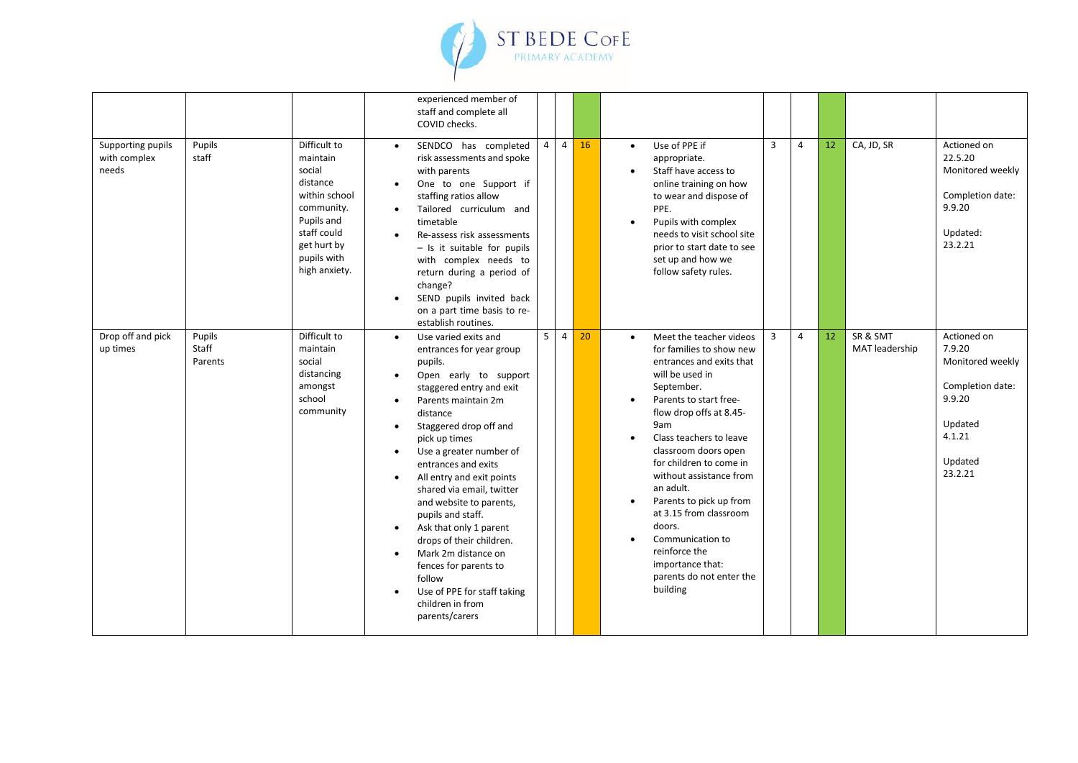

|                                            |                            |                                                                                                                                                           | experienced member of<br>staff and complete all<br>COVID checks.                                                                                                                                                                                                                                                                                                                                                                                                                                                                                                                                                                           |                                  |    |                                                  |                                                                                                                                                                                                                                                                                                                                                                                                                                                                    |                |                |                 |                            |                                                                                                                    |
|--------------------------------------------|----------------------------|-----------------------------------------------------------------------------------------------------------------------------------------------------------|--------------------------------------------------------------------------------------------------------------------------------------------------------------------------------------------------------------------------------------------------------------------------------------------------------------------------------------------------------------------------------------------------------------------------------------------------------------------------------------------------------------------------------------------------------------------------------------------------------------------------------------------|----------------------------------|----|--------------------------------------------------|--------------------------------------------------------------------------------------------------------------------------------------------------------------------------------------------------------------------------------------------------------------------------------------------------------------------------------------------------------------------------------------------------------------------------------------------------------------------|----------------|----------------|-----------------|----------------------------|--------------------------------------------------------------------------------------------------------------------|
| Supporting pupils<br>with complex<br>needs | Pupils<br>staff            | Difficult to<br>maintain<br>social<br>distance<br>within school<br>community.<br>Pupils and<br>staff could<br>get hurt by<br>pupils with<br>high anxiety. | SENDCO has completed<br>$\bullet$<br>risk assessments and spoke<br>with parents<br>One to one Support if<br>staffing ratios allow<br>Tailored curriculum and<br>timetable<br>Re-assess risk assessments<br>$-$ Is it suitable for pupils<br>with complex needs to<br>return during a period of<br>change?<br>SEND pupils invited back<br>on a part time basis to re-<br>establish routines.                                                                                                                                                                                                                                                | $\overline{4}$<br>$\overline{4}$ | 16 | $\bullet$<br>$\bullet$<br>$\bullet$              | Use of PPE if<br>appropriate.<br>Staff have access to<br>online training on how<br>to wear and dispose of<br>PPE.<br>Pupils with complex<br>needs to visit school site<br>prior to start date to see<br>set up and how we<br>follow safety rules.                                                                                                                                                                                                                  | 3              | $\overline{4}$ | 12 <sup>2</sup> | CA, JD, SR                 | Actioned on<br>22.5.20<br>Monitored weekly<br>Completion date:<br>9.9.20<br>Updated:<br>23.2.21                    |
| Drop off and pick<br>up times              | Pupils<br>Staff<br>Parents | Difficult to<br>maintain<br>social<br>distancing<br>amongst<br>school<br>community                                                                        | Use varied exits and<br>$\bullet$<br>entrances for year group<br>pupils.<br>Open early to support<br>staggered entry and exit<br>Parents maintain 2m<br>$\bullet$<br>distance<br>Staggered drop off and<br>$\bullet$<br>pick up times<br>Use a greater number of<br>$\bullet$<br>entrances and exits<br>All entry and exit points<br>$\bullet$<br>shared via email, twitter<br>and website to parents,<br>pupils and staff.<br>Ask that only 1 parent<br>$\bullet$<br>drops of their children.<br>Mark 2m distance on<br>$\bullet$<br>fences for parents to<br>follow<br>Use of PPE for staff taking<br>children in from<br>parents/carers | 5 <sup>1</sup><br>$\overline{4}$ | 20 | $\bullet$<br>$\bullet$<br>$\bullet$<br>$\bullet$ | Meet the teacher videos<br>for families to show new<br>entrances and exits that<br>will be used in<br>September.<br>Parents to start free-<br>flow drop offs at 8.45-<br>9am<br>Class teachers to leave<br>classroom doors open<br>for children to come in<br>without assistance from<br>an adult.<br>Parents to pick up from<br>at 3.15 from classroom<br>doors.<br>Communication to<br>reinforce the<br>importance that:<br>parents do not enter the<br>building | $\overline{3}$ | $\overline{4}$ | 12              | SR & SMT<br>MAT leadership | Actioned on<br>7.9.20<br>Monitored weekly<br>Completion date:<br>9.9.20<br>Updated<br>4.1.21<br>Updated<br>23.2.21 |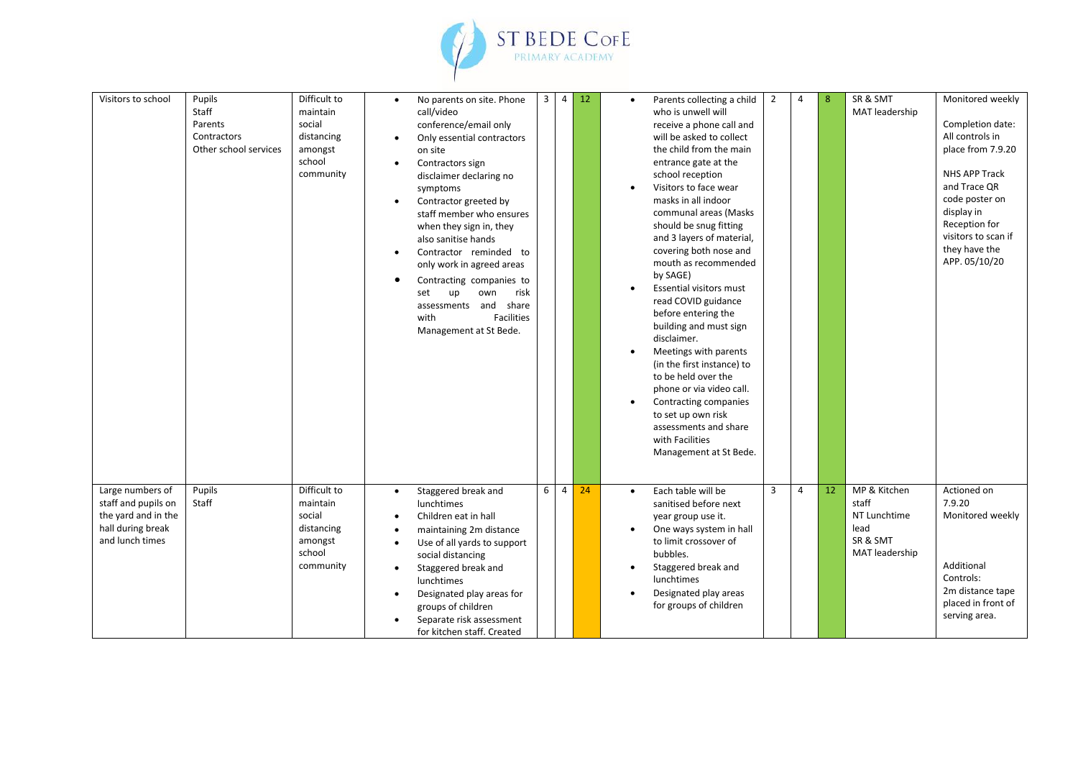

| Visitors to school                                                                                     | Pupils<br>Staff<br>Parents<br>Contractors<br>Other school services | Difficult to<br>maintain<br>social<br>distancing<br>amongst<br>school<br>community | $\bullet$<br>$\bullet$<br>$\bullet$<br>$\bullet$                                        | No parents on site. Phone<br>call/video<br>conference/email only<br>Only essential contractors<br>on site<br>Contractors sign<br>disclaimer declaring no<br>symptoms<br>Contractor greeted by<br>staff member who ensures<br>when they sign in, they<br>also sanitise hands<br>Contractor reminded to<br>only work in agreed areas<br>Contracting companies to<br>up<br>own<br>risk<br>set<br>assessments and share<br>with<br><b>Facilities</b><br>Management at St Bede. | $\mathbf{3}$ | $\overline{4}$ | 12 | $\bullet$ | Parents collecting a child<br>who is unwell will<br>receive a phone call and<br>will be asked to collect<br>the child from the main<br>entrance gate at the<br>school reception<br>Visitors to face wear<br>masks in all indoor<br>communal areas (Masks<br>should be snug fitting<br>and 3 layers of material,<br>covering both nose and<br>mouth as recommended<br>by SAGE)<br>Essential visitors must<br>read COVID guidance<br>before entering the<br>building and must sign<br>disclaimer.<br>Meetings with parents<br>(in the first instance) to<br>to be held over the<br>phone or via video call.<br>Contracting companies<br>to set up own risk<br>assessments and share<br>with Facilities<br>Management at St Bede. | $\overline{2}$ | $\overline{4}$ | 8  | SR & SMT<br>MAT leadership                                                  | Monitored weekly<br>Completion date:<br>All controls in<br>place from 7.9.20<br>NHS APP Track<br>and Trace OR<br>code poster on<br>display in<br>Reception for<br>visitors to scan if<br>they have the<br>APP. 05/10/20 |
|--------------------------------------------------------------------------------------------------------|--------------------------------------------------------------------|------------------------------------------------------------------------------------|-----------------------------------------------------------------------------------------|----------------------------------------------------------------------------------------------------------------------------------------------------------------------------------------------------------------------------------------------------------------------------------------------------------------------------------------------------------------------------------------------------------------------------------------------------------------------------|--------------|----------------|----|-----------|--------------------------------------------------------------------------------------------------------------------------------------------------------------------------------------------------------------------------------------------------------------------------------------------------------------------------------------------------------------------------------------------------------------------------------------------------------------------------------------------------------------------------------------------------------------------------------------------------------------------------------------------------------------------------------------------------------------------------------|----------------|----------------|----|-----------------------------------------------------------------------------|-------------------------------------------------------------------------------------------------------------------------------------------------------------------------------------------------------------------------|
|                                                                                                        |                                                                    |                                                                                    |                                                                                         |                                                                                                                                                                                                                                                                                                                                                                                                                                                                            |              |                |    |           |                                                                                                                                                                                                                                                                                                                                                                                                                                                                                                                                                                                                                                                                                                                                |                |                |    |                                                                             |                                                                                                                                                                                                                         |
| Large numbers of<br>staff and pupils on<br>the yard and in the<br>hall during break<br>and lunch times | Pupils<br>Staff                                                    | Difficult to<br>maintain<br>social<br>distancing<br>amongst<br>school<br>community | $\bullet$<br>$\bullet$<br>$\bullet$<br>$\bullet$<br>$\bullet$<br>$\bullet$<br>$\bullet$ | Staggered break and<br>lunchtimes<br>Children eat in hall<br>maintaining 2m distance<br>Use of all yards to support<br>social distancing<br>Staggered break and<br>lunchtimes<br>Designated play areas for<br>groups of children<br>Separate risk assessment<br>for kitchen staff. Created                                                                                                                                                                                 | 6            | $\overline{4}$ | 24 | $\bullet$ | Each table will be<br>sanitised before next<br>year group use it.<br>One ways system in hall<br>to limit crossover of<br>bubbles.<br>Staggered break and<br>lunchtimes<br>Designated play areas<br>for groups of children                                                                                                                                                                                                                                                                                                                                                                                                                                                                                                      | 3              | $\overline{4}$ | 12 | MP & Kitchen<br>staff<br>NT Lunchtime<br>lead<br>SR & SMT<br>MAT leadership | Actioned on<br>7.9.20<br>Monitored weekly<br>Additional<br>Controls:<br>2m distance tape<br>placed in front of<br>serving area.                                                                                         |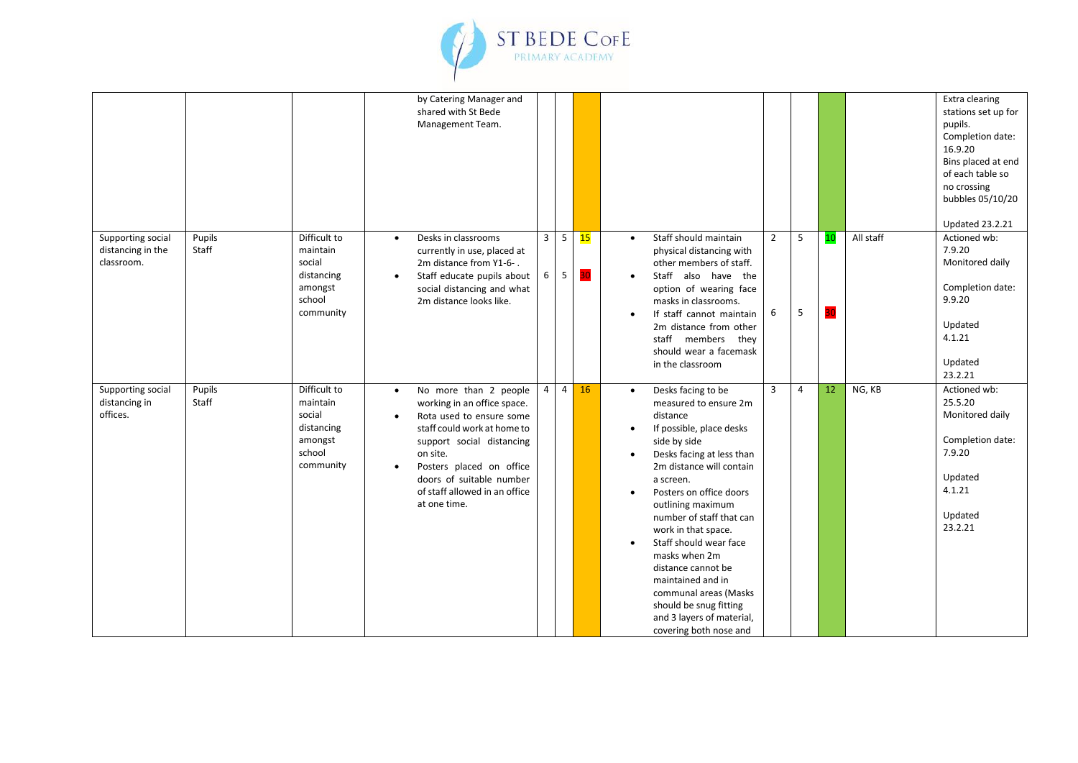

|                                                      |                 |                                                                                    |                                     | by Catering Manager and<br>shared with St Bede<br>Management Team.                                                                                                                                                                                                |                     |                      |          |           |                                                                                                                                                                                                                                                                                                                                                                                                                                                                              |                     |                |    |           | Extra clearing<br>stations set up for<br>pupils.<br>Completion date:<br>16.9.20<br>Bins placed at end<br>of each table so<br>no crossing<br>bubbles 05/10/20<br><b>Updated 23.2.21</b> |
|------------------------------------------------------|-----------------|------------------------------------------------------------------------------------|-------------------------------------|-------------------------------------------------------------------------------------------------------------------------------------------------------------------------------------------------------------------------------------------------------------------|---------------------|----------------------|----------|-----------|------------------------------------------------------------------------------------------------------------------------------------------------------------------------------------------------------------------------------------------------------------------------------------------------------------------------------------------------------------------------------------------------------------------------------------------------------------------------------|---------------------|----------------|----|-----------|----------------------------------------------------------------------------------------------------------------------------------------------------------------------------------------|
| Supporting social<br>distancing in the<br>classroom. | Pupils<br>Staff | Difficult to<br>maintain<br>social<br>distancing<br>amongst<br>school<br>community | $\bullet$<br>$\bullet$              | Desks in classrooms<br>currently in use, placed at<br>2m distance from Y1-6-.<br>Staff educate pupils about<br>social distancing and what<br>2m distance looks like.                                                                                              | $\overline{3}$<br>6 | $5\overline{5}$<br>5 | 15<br>30 | $\bullet$ | Staff should maintain<br>physical distancing with<br>other members of staff.<br>Staff also have the<br>option of wearing face<br>masks in classrooms.<br>If staff cannot maintain<br>2m distance from other<br>staff members they<br>should wear a facemask<br>in the classroom                                                                                                                                                                                              | $\overline{2}$<br>6 | 5<br>5         | 30 | All staff | Actioned wb:<br>7.9.20<br>Monitored daily<br>Completion date:<br>9.9.20<br>Updated<br>4.1.21<br>Updated<br>23.2.21                                                                     |
| Supporting social<br>distancing in<br>offices.       | Pupils<br>Staff | Difficult to<br>maintain<br>social<br>distancing<br>amongst<br>school<br>community | $\bullet$<br>$\bullet$<br>$\bullet$ | No more than 2 people<br>working in an office space.<br>Rota used to ensure some<br>staff could work at home to<br>support social distancing<br>on site.<br>Posters placed on office<br>doors of suitable number<br>of staff allowed in an office<br>at one time. | $\overline{4}$      | $\overline{4}$       | 16       | $\bullet$ | Desks facing to be<br>measured to ensure 2m<br>distance<br>If possible, place desks<br>side by side<br>Desks facing at less than<br>2m distance will contain<br>a screen.<br>Posters on office doors<br>outlining maximum<br>number of staff that can<br>work in that space.<br>Staff should wear face<br>masks when 2m<br>distance cannot be<br>maintained and in<br>communal areas (Masks<br>should be snug fitting<br>and 3 layers of material,<br>covering both nose and | $\overline{3}$      | $\overline{4}$ | 12 | NG, KB    | Actioned wb:<br>25.5.20<br>Monitored daily<br>Completion date:<br>7.9.20<br>Updated<br>4.1.21<br>Updated<br>23.2.21                                                                    |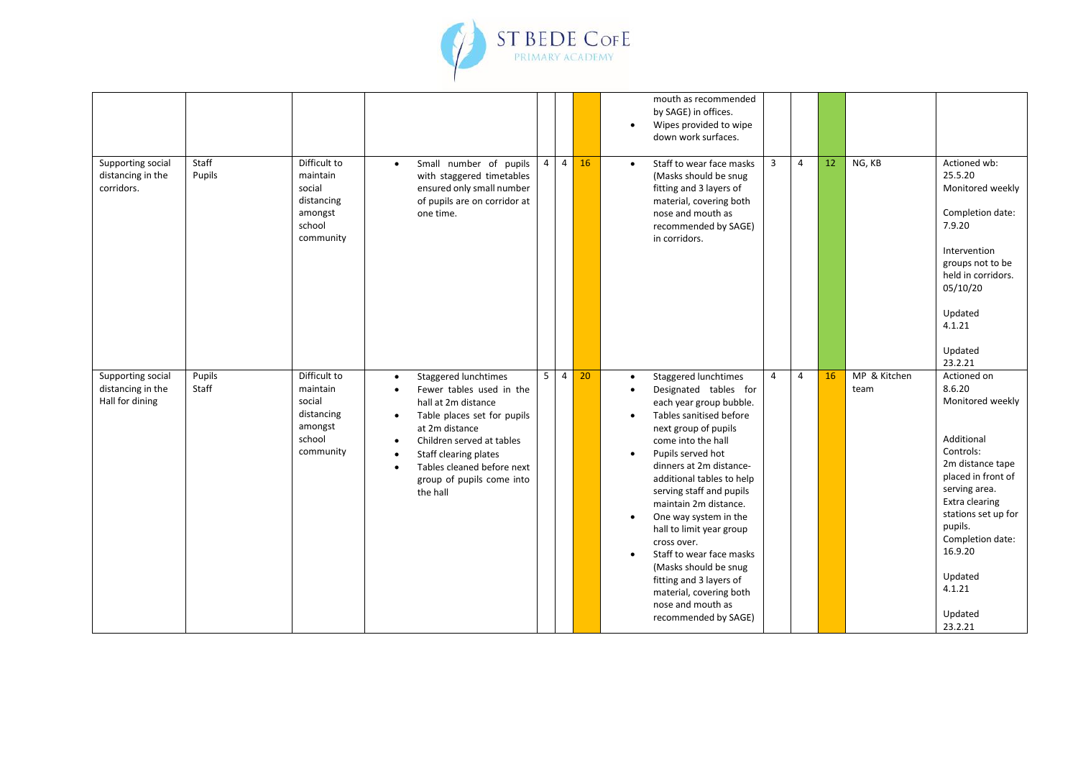

|                                                           |                 |                                                                                    |                                                                            |                                                                                                                                                                                                                                                       |                |                |    | $\bullet$                           | mouth as recommended<br>by SAGE) in offices.<br>Wipes provided to wipe<br>down work surfaces.                                                                                                                                                                                                                                                                                                                                                                                                                   |                |                |    |                      |                                                                                                                                                                                                                                                               |
|-----------------------------------------------------------|-----------------|------------------------------------------------------------------------------------|----------------------------------------------------------------------------|-------------------------------------------------------------------------------------------------------------------------------------------------------------------------------------------------------------------------------------------------------|----------------|----------------|----|-------------------------------------|-----------------------------------------------------------------------------------------------------------------------------------------------------------------------------------------------------------------------------------------------------------------------------------------------------------------------------------------------------------------------------------------------------------------------------------------------------------------------------------------------------------------|----------------|----------------|----|----------------------|---------------------------------------------------------------------------------------------------------------------------------------------------------------------------------------------------------------------------------------------------------------|
| Supporting social<br>distancing in the<br>corridors.      | Staff<br>Pupils | Difficult to<br>maintain<br>social<br>distancing<br>amongst<br>school<br>community | $\bullet$                                                                  | Small number of pupils<br>with staggered timetables<br>ensured only small number<br>of pupils are on corridor at<br>one time.                                                                                                                         | $\overline{4}$ | $\overline{4}$ | 16 | $\bullet$                           | Staff to wear face masks<br>(Masks should be snug<br>fitting and 3 layers of<br>material, covering both<br>nose and mouth as<br>recommended by SAGE)<br>in corridors.                                                                                                                                                                                                                                                                                                                                           | $\overline{3}$ | $\overline{4}$ | 12 | NG, KB               | Actioned wb:<br>25.5.20<br>Monitored weekly<br>Completion date:<br>7.9.20<br>Intervention<br>groups not to be<br>held in corridors.<br>05/10/20<br>Updated<br>4.1.21<br>Updated<br>23.2.21                                                                    |
| Supporting social<br>distancing in the<br>Hall for dining | Pupils<br>Staff | Difficult to<br>maintain<br>social<br>distancing<br>amongst<br>school<br>community | $\bullet$<br>$\bullet$<br>$\bullet$<br>$\bullet$<br>$\bullet$<br>$\bullet$ | Staggered lunchtimes<br>Fewer tables used in the<br>hall at 2m distance<br>Table places set for pupils<br>at 2m distance<br>Children served at tables<br>Staff clearing plates<br>Tables cleaned before next<br>group of pupils come into<br>the hall | 5 <sup>5</sup> | $\overline{4}$ | 20 | $\bullet$<br>$\bullet$<br>$\bullet$ | Staggered lunchtimes<br>Designated tables for<br>each year group bubble.<br>Tables sanitised before<br>next group of pupils<br>come into the hall<br>Pupils served hot<br>dinners at 2m distance-<br>additional tables to help<br>serving staff and pupils<br>maintain 2m distance.<br>One way system in the<br>hall to limit year group<br>cross over.<br>Staff to wear face masks<br>(Masks should be snug<br>fitting and 3 layers of<br>material, covering both<br>nose and mouth as<br>recommended by SAGE) | $\overline{4}$ | $\overline{4}$ | 16 | MP & Kitchen<br>team | Actioned on<br>8.6.20<br>Monitored weekly<br>Additional<br>Controls:<br>2m distance tape<br>placed in front of<br>serving area.<br>Extra clearing<br>stations set up for<br>pupils.<br>Completion date:<br>16.9.20<br>Updated<br>4.1.21<br>Updated<br>23.2.21 |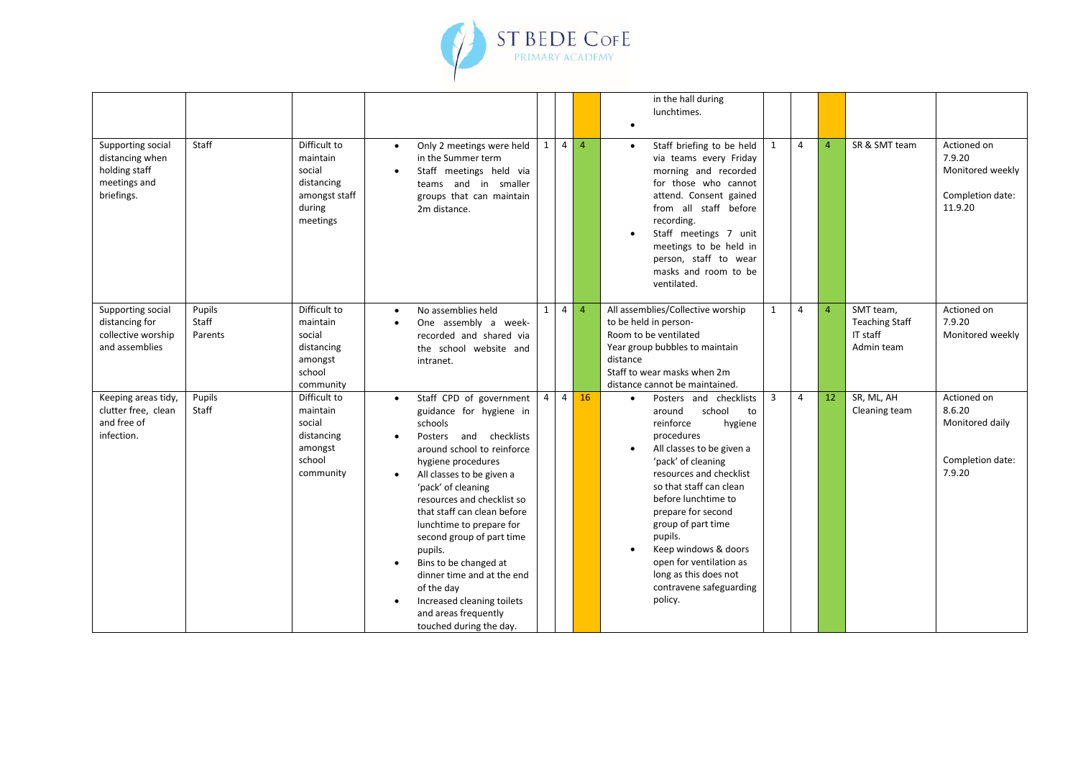

|                                                                                     |                            |                                                                                         |                                     |                                                                                                                                                                                                                                                                                                                                                                                                                                                                                       |                |                |                | in the hall during<br>lunchtimes.<br>$\bullet$                                                                                                                                                                                                                                                                                                                                                               |                |                |                |                                                              |                                                                          |
|-------------------------------------------------------------------------------------|----------------------------|-----------------------------------------------------------------------------------------|-------------------------------------|---------------------------------------------------------------------------------------------------------------------------------------------------------------------------------------------------------------------------------------------------------------------------------------------------------------------------------------------------------------------------------------------------------------------------------------------------------------------------------------|----------------|----------------|----------------|--------------------------------------------------------------------------------------------------------------------------------------------------------------------------------------------------------------------------------------------------------------------------------------------------------------------------------------------------------------------------------------------------------------|----------------|----------------|----------------|--------------------------------------------------------------|--------------------------------------------------------------------------|
| Supporting social<br>distancing when<br>holding staff<br>meetings and<br>briefings. | Staff                      | Difficult to<br>maintain<br>social<br>distancing<br>amongst staff<br>during<br>meetings | $\bullet$                           | Only 2 meetings were held<br>in the Summer term<br>Staff meetings held via<br>teams and in smaller<br>groups that can maintain<br>2m distance.                                                                                                                                                                                                                                                                                                                                        | 1              | $\overline{4}$ | $\overline{4}$ | Staff briefing to be held<br>$\bullet$<br>via teams every Friday<br>morning and recorded<br>for those who cannot<br>attend. Consent gained<br>from all staff before<br>recording.<br>Staff meetings 7 unit<br>$\bullet$<br>meetings to be held in<br>person, staff to wear<br>masks and room to be<br>ventilated.                                                                                            | 1              | $\overline{4}$ | $\overline{a}$ | SR & SMT team                                                | Actioned on<br>7.9.20<br>Monitored weekly<br>Completion date:<br>11.9.20 |
| Supporting social<br>distancing for<br>collective worship<br>and assemblies         | Pupils<br>Staff<br>Parents | Difficult to<br>maintain<br>social<br>distancing<br>amongst<br>school<br>community      | $\bullet$<br>٠                      | No assemblies held<br>One assembly a week-<br>recorded and shared via<br>the school website and<br>intranet.                                                                                                                                                                                                                                                                                                                                                                          | $1\phantom{0}$ | $\overline{4}$ | $\overline{4}$ | All assemblies/Collective worship<br>to be held in person-<br>Room to be ventilated<br>Year group bubbles to maintain<br>distance<br>Staff to wear masks when 2m<br>distance cannot be maintained.                                                                                                                                                                                                           | $\mathbf{1}$   | 4              | $\overline{4}$ | SMT team,<br><b>Teaching Staff</b><br>IT staff<br>Admin team | Actioned on<br>7.9.20<br>Monitored weekly                                |
| Keeping areas tidy,<br>clutter free, clean<br>and free of<br>infection.             | Pupils<br>Staff            | Difficult to<br>maintain<br>social<br>distancing<br>amongst<br>school<br>community      | $\bullet$<br>$\bullet$<br>$\bullet$ | Staff CPD of government<br>guidance for hygiene in<br>schools<br>Posters and checklists<br>around school to reinforce<br>hygiene procedures<br>All classes to be given a<br>'pack' of cleaning<br>resources and checklist so<br>that staff can clean before<br>lunchtime to prepare for<br>second group of part time<br>pupils.<br>Bins to be changed at<br>dinner time and at the end<br>of the day<br>Increased cleaning toilets<br>and areas frequently<br>touched during the day. | $\overline{4}$ | $\overline{4}$ | 16             | Posters and checklists<br>$\bullet$<br>school<br>around<br>to<br>reinforce<br>hygiene<br>procedures<br>All classes to be given a<br>'pack' of cleaning<br>resources and checklist<br>so that staff can clean<br>before lunchtime to<br>prepare for second<br>group of part time<br>pupils.<br>Keep windows & doors<br>open for ventilation as<br>long as this does not<br>contravene safeguarding<br>policy. | $\overline{3}$ | 4              | 12             | SR, ML, AH<br>Cleaning team                                  | Actioned on<br>8.6.20<br>Monitored daily<br>Completion date:<br>7.9.20   |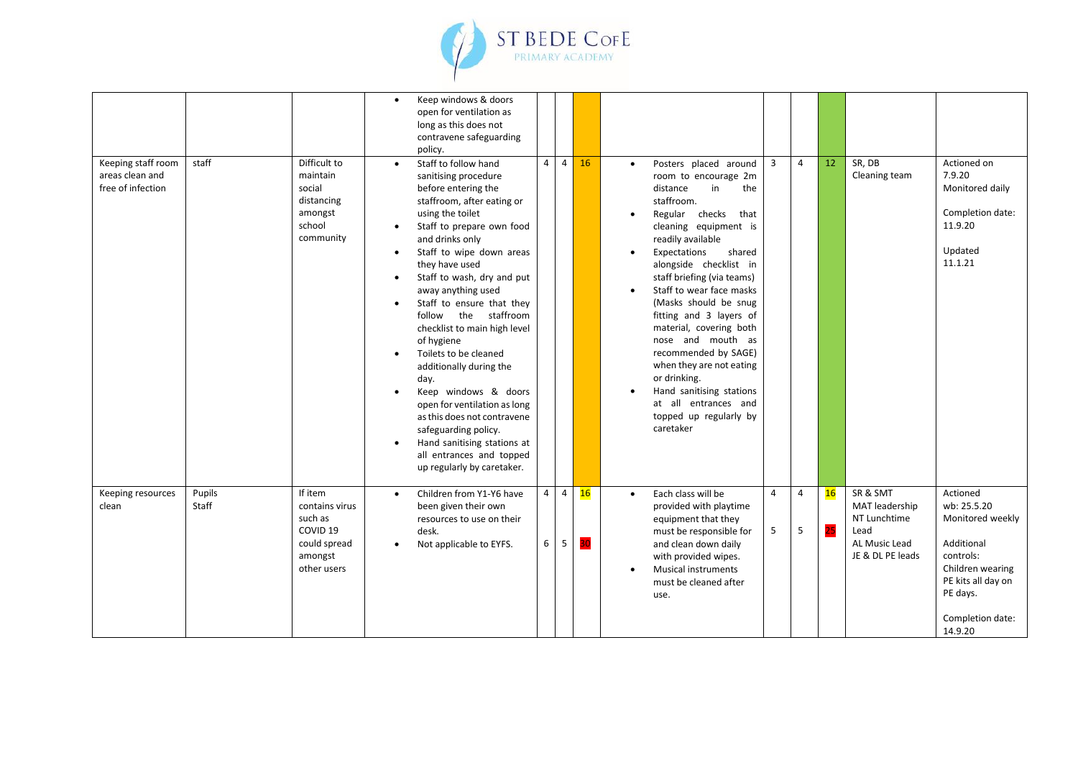

|                                                            |                 |                                                                                                       | $\bullet$                                        | Keep windows & doors<br>open for ventilation as<br>long as this does not<br>contravene safeguarding<br>policy.                                                                                                                                                                                                                                                                                                                                                                                                                                                                                                                                 |                     |                     |          |           |                                                                                                                                                                                                                                                                                                                                                                                                                                                                                                                                               |                     |                     |          |                                                                                         |                                                                                                                                                             |
|------------------------------------------------------------|-----------------|-------------------------------------------------------------------------------------------------------|--------------------------------------------------|------------------------------------------------------------------------------------------------------------------------------------------------------------------------------------------------------------------------------------------------------------------------------------------------------------------------------------------------------------------------------------------------------------------------------------------------------------------------------------------------------------------------------------------------------------------------------------------------------------------------------------------------|---------------------|---------------------|----------|-----------|-----------------------------------------------------------------------------------------------------------------------------------------------------------------------------------------------------------------------------------------------------------------------------------------------------------------------------------------------------------------------------------------------------------------------------------------------------------------------------------------------------------------------------------------------|---------------------|---------------------|----------|-----------------------------------------------------------------------------------------|-------------------------------------------------------------------------------------------------------------------------------------------------------------|
| Keeping staff room<br>areas clean and<br>free of infection | staff           | Difficult to<br>maintain<br>social<br>distancing<br>amongst<br>school<br>community                    | $\bullet$<br>$\bullet$<br>$\bullet$<br>$\bullet$ | Staff to follow hand<br>sanitising procedure<br>before entering the<br>staffroom, after eating or<br>using the toilet<br>Staff to prepare own food<br>and drinks only<br>Staff to wipe down areas<br>they have used<br>Staff to wash, dry and put<br>away anything used<br>Staff to ensure that they<br>follow the staffroom<br>checklist to main high level<br>of hygiene<br>Toilets to be cleaned<br>additionally during the<br>day.<br>Keep windows & doors<br>open for ventilation as long<br>as this does not contravene<br>safeguarding policy.<br>Hand sanitising stations at<br>all entrances and topped<br>up regularly by caretaker. |                     | $4 \mid 4$          | 16       | $\bullet$ | Posters placed around<br>room to encourage 2m<br>in<br>distance<br>the<br>staffroom.<br>Regular checks<br>that<br>cleaning equipment is<br>readily available<br>Expectations<br>shared<br>alongside checklist in<br>staff briefing (via teams)<br>Staff to wear face masks<br>(Masks should be snug<br>fitting and 3 layers of<br>material, covering both<br>nose and mouth as<br>recommended by SAGE)<br>when they are not eating<br>or drinking.<br>Hand sanitising stations<br>at all entrances and<br>topped up regularly by<br>caretaker | $\overline{3}$      | 4                   | 12       | SR, DB<br>Cleaning team                                                                 | Actioned on<br>7.9.20<br>Monitored daily<br>Completion date:<br>11.9.20<br>Updated<br>11.1.21                                                               |
| Keeping resources<br>clean                                 | Pupils<br>Staff | If item<br>contains virus<br>such as<br>COVID <sub>19</sub><br>could spread<br>amongst<br>other users | $\bullet$                                        | Children from Y1-Y6 have<br>been given their own<br>resources to use on their<br>desk.<br>Not applicable to EYFS.                                                                                                                                                                                                                                                                                                                                                                                                                                                                                                                              | $\overline{4}$<br>6 | $\overline{4}$<br>5 | 16<br>30 | $\bullet$ | Each class will be<br>provided with playtime<br>equipment that they<br>must be responsible for<br>and clean down daily<br>with provided wipes.<br><b>Musical instruments</b><br>must be cleaned after<br>use.                                                                                                                                                                                                                                                                                                                                 | $\overline{4}$<br>5 | $\overline{4}$<br>5 | 16<br>25 | SR & SMT<br>MAT leadership<br>NT Lunchtime<br>Lead<br>AL Music Lead<br>JE & DL PE leads | Actioned<br>wb: 25.5.20<br>Monitored weekly<br>Additional<br>controls:<br>Children wearing<br>PE kits all day on<br>PE days.<br>Completion date:<br>14.9.20 |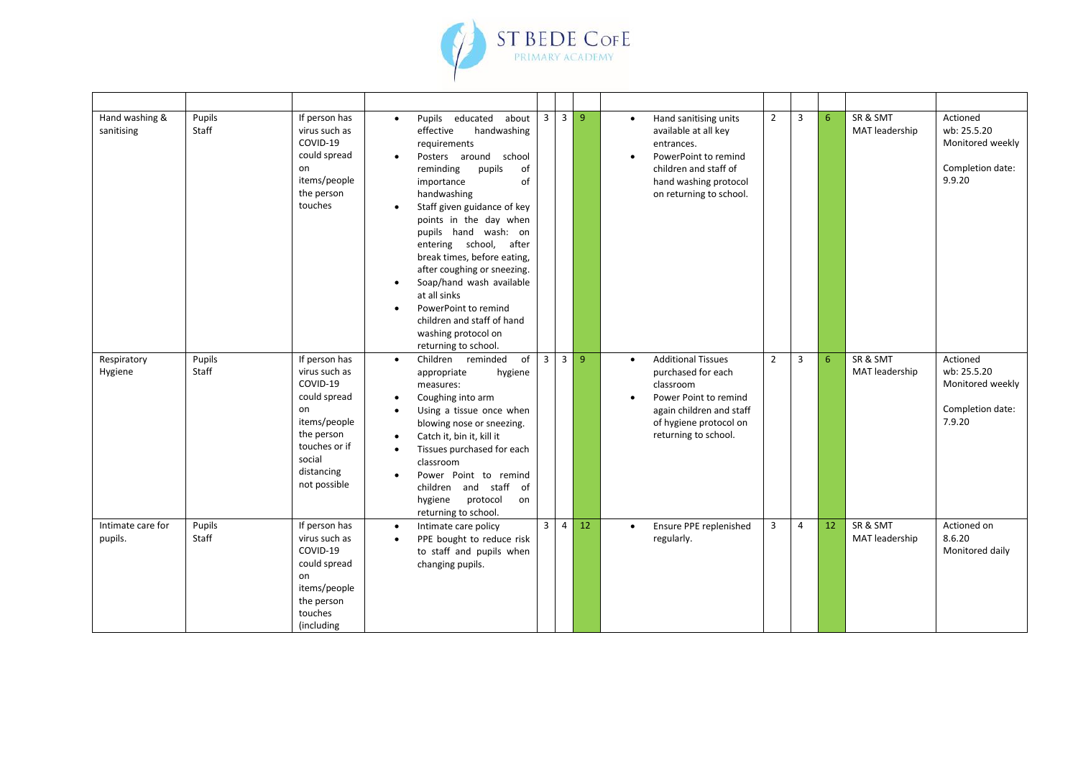

| Hand washing &<br>sanitising | Pupils<br>Staff | If person has<br>virus such as<br>COVID-19<br>could spread<br>on<br>items/people<br>the person<br>touches                                               | Pupils educated<br>about<br>$\bullet$<br>effective<br>handwashing<br>requirements<br>Posters around school<br>$\bullet$<br>reminding<br>pupils<br>of<br>of<br>importance<br>handwashing<br>Staff given guidance of key<br>points in the day when<br>pupils hand wash: on<br>entering school, after<br>break times, before eating,<br>after coughing or sneezing.<br>Soap/hand wash available<br>$\bullet$<br>at all sinks<br>PowerPoint to remind<br>$\bullet$<br>children and staff of hand<br>washing protocol on<br>returning to school. | $\overline{\mathbf{3}}$ | $\overline{3}$ | 9              | Hand sanitising units<br>$\bullet$<br>available at all key<br>entrances.<br>PowerPoint to remind<br>children and staff of<br>hand washing protocol<br>on returning to school.    | $\overline{2}$ | 3              | 6  | SR & SMT<br>MAT leadership | Actioned<br>wb: 25.5.20<br>Monitored weekly<br>Completion date:<br>9.9.20 |
|------------------------------|-----------------|---------------------------------------------------------------------------------------------------------------------------------------------------------|---------------------------------------------------------------------------------------------------------------------------------------------------------------------------------------------------------------------------------------------------------------------------------------------------------------------------------------------------------------------------------------------------------------------------------------------------------------------------------------------------------------------------------------------|-------------------------|----------------|----------------|----------------------------------------------------------------------------------------------------------------------------------------------------------------------------------|----------------|----------------|----|----------------------------|---------------------------------------------------------------------------|
| Respiratory<br>Hygiene       | Pupils<br>Staff | If person has<br>virus such as<br>COVID-19<br>could spread<br>on<br>items/people<br>the person<br>touches or if<br>social<br>distancing<br>not possible | of<br>Children reminded<br>$\bullet$<br>appropriate<br>hygiene<br>measures:<br>Coughing into arm<br>$\bullet$<br>Using a tissue once when<br>$\bullet$<br>blowing nose or sneezing.<br>Catch it, bin it, kill it<br>Tissues purchased for each<br>classroom<br>Power Point to remind<br>children and staff<br>of<br>hygiene protocol<br>on<br>returning to school.                                                                                                                                                                          | $\overline{3}$          | $\overline{3}$ | $\overline{9}$ | <b>Additional Tissues</b><br>$\bullet$<br>purchased for each<br>classroom<br>Power Point to remind<br>again children and staff<br>of hygiene protocol on<br>returning to school. | $\overline{2}$ | $\overline{3}$ | 6  | SR & SMT<br>MAT leadership | Actioned<br>wb: 25.5.20<br>Monitored weekly<br>Completion date:<br>7.9.20 |
| Intimate care for<br>pupils. | Pupils<br>Staff | If person has<br>virus such as<br>COVID-19<br>could spread<br>on<br>items/people<br>the person<br>touches<br>(including                                 | Intimate care policy<br>$\bullet$<br>PPE bought to reduce risk<br>$\bullet$<br>to staff and pupils when<br>changing pupils.                                                                                                                                                                                                                                                                                                                                                                                                                 | $\overline{3}$          | $\overline{4}$ | 12             | Ensure PPE replenished<br>$\bullet$<br>regularly.                                                                                                                                | 3              | 4              | 12 | SR & SMT<br>MAT leadership | Actioned on<br>8.6.20<br>Monitored daily                                  |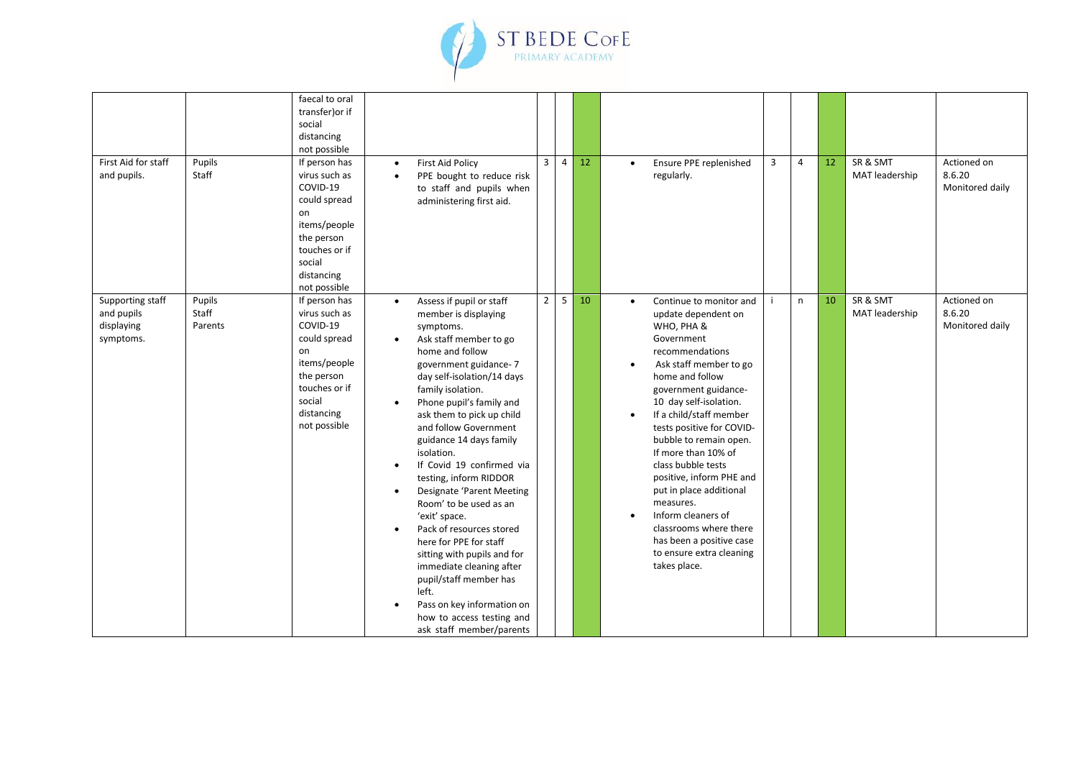

| First Aid for staff<br>and pupils.                        | Pupils<br>Staff            | faecal to oral<br>transfer) or if<br>social<br>distancing<br>not possible<br>If person has<br>virus such as<br>COVID-19<br>could spread<br>on<br>items/people<br>the person<br>touches or if<br>social<br>distancing<br>not possible | <b>First Aid Policy</b><br>$\bullet$<br>PPE bought to reduce risk<br>$\bullet$<br>to staff and pupils when<br>administering first aid.                                                                                                                                                                                                                                                                                                                                                                                                                                                                                                                                                                                                                                    | $\overline{3}$      | $\overline{4}$ | 12 | Ensure PPE replenished<br>$\bullet$<br>regularly.                                                                                                                                                                                                                                                                                                                                                                                                                                                                                                                           | $\overline{3}$ | $\overline{4}$ | 12 | SR & SMT<br>MAT leadership | Actioned on<br>8.6.20<br>Monitored daily |
|-----------------------------------------------------------|----------------------------|--------------------------------------------------------------------------------------------------------------------------------------------------------------------------------------------------------------------------------------|---------------------------------------------------------------------------------------------------------------------------------------------------------------------------------------------------------------------------------------------------------------------------------------------------------------------------------------------------------------------------------------------------------------------------------------------------------------------------------------------------------------------------------------------------------------------------------------------------------------------------------------------------------------------------------------------------------------------------------------------------------------------------|---------------------|----------------|----|-----------------------------------------------------------------------------------------------------------------------------------------------------------------------------------------------------------------------------------------------------------------------------------------------------------------------------------------------------------------------------------------------------------------------------------------------------------------------------------------------------------------------------------------------------------------------------|----------------|----------------|----|----------------------------|------------------------------------------|
| Supporting staff<br>and pupils<br>displaying<br>symptoms. | Pupils<br>Staff<br>Parents | If person has<br>virus such as<br>COVID-19<br>could spread<br>on<br>items/people<br>the person<br>touches or if<br>social<br>distancing<br>not possible                                                                              | Assess if pupil or staff<br>$\bullet$<br>member is displaying<br>symptoms.<br>Ask staff member to go<br>$\bullet$<br>home and follow<br>government guidance-7<br>day self-isolation/14 days<br>family isolation.<br>Phone pupil's family and<br>$\bullet$<br>ask them to pick up child<br>and follow Government<br>guidance 14 days family<br>isolation.<br>If Covid 19 confirmed via<br>$\bullet$<br>testing, inform RIDDOR<br>Designate 'Parent Meeting<br>$\bullet$<br>Room' to be used as an<br>'exit' space.<br>Pack of resources stored<br>$\bullet$<br>here for PPE for staff<br>sitting with pupils and for<br>immediate cleaning after<br>pupil/staff member has<br>left.<br>Pass on key information on<br>how to access testing and<br>ask staff member/parents | $\overline{2}$<br>5 |                | 10 | Continue to monitor and<br>$\bullet$<br>update dependent on<br>WHO, PHA &<br>Government<br>recommendations<br>Ask staff member to go<br>$\bullet$<br>home and follow<br>government guidance-<br>10 day self-isolation.<br>If a child/staff member<br>$\bullet$<br>tests positive for COVID-<br>bubble to remain open.<br>If more than 10% of<br>class bubble tests<br>positive, inform PHE and<br>put in place additional<br>measures.<br>Inform cleaners of<br>$\bullet$<br>classrooms where there<br>has been a positive case<br>to ensure extra cleaning<br>takes place. |                | n              | 10 | SR & SMT<br>MAT leadership | Actioned on<br>8.6.20<br>Monitored daily |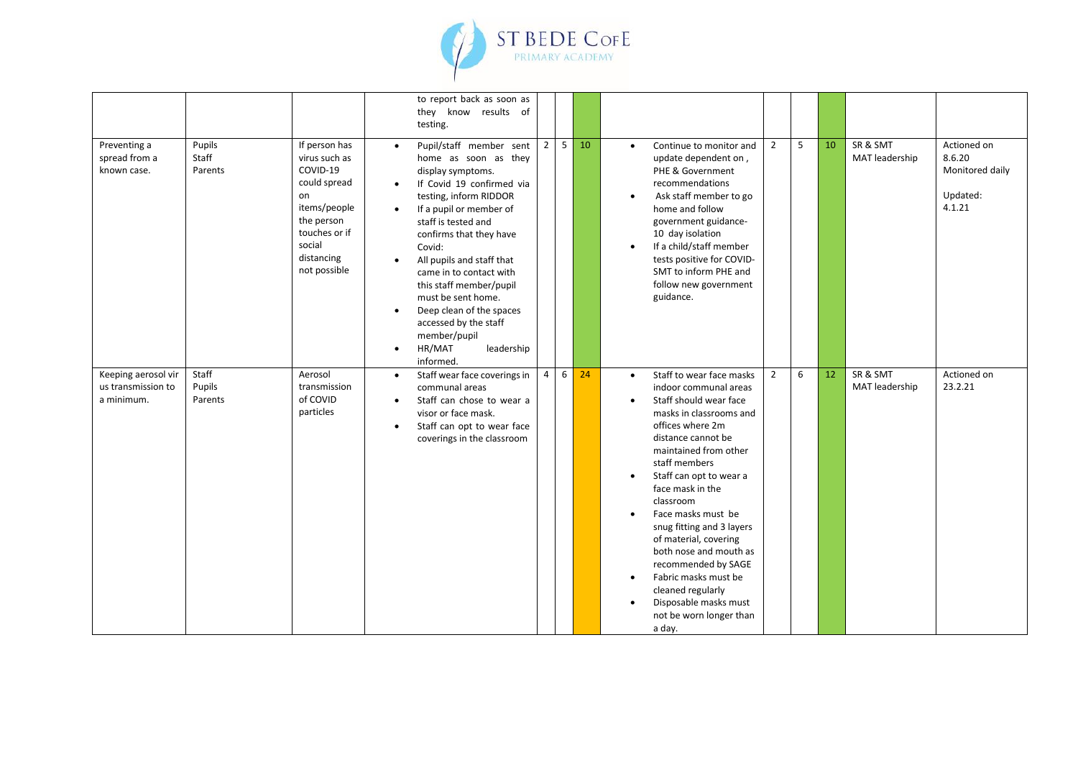

|                                                         |                            |                                                                                                                                                         |                                                  | to report back as soon as<br>they know results of<br>testing.                                                                                                                                                                                                                                                                                                                                                                         |                |   |    |                                                                                                                                                                                                                                                                                                                                                                                                                                                                                                                                                                                                                                                      |  |
|---------------------------------------------------------|----------------------------|---------------------------------------------------------------------------------------------------------------------------------------------------------|--------------------------------------------------|---------------------------------------------------------------------------------------------------------------------------------------------------------------------------------------------------------------------------------------------------------------------------------------------------------------------------------------------------------------------------------------------------------------------------------------|----------------|---|----|------------------------------------------------------------------------------------------------------------------------------------------------------------------------------------------------------------------------------------------------------------------------------------------------------------------------------------------------------------------------------------------------------------------------------------------------------------------------------------------------------------------------------------------------------------------------------------------------------------------------------------------------------|--|
| Preventing a<br>spread from a<br>known case.            | Pupils<br>Staff<br>Parents | If person has<br>virus such as<br>COVID-19<br>could spread<br>on<br>items/people<br>the person<br>touches or if<br>social<br>distancing<br>not possible | $\bullet$<br>$\bullet$<br>$\bullet$<br>$\bullet$ | Pupil/staff member sent<br>home as soon as they<br>display symptoms.<br>If Covid 19 confirmed via<br>testing, inform RIDDOR<br>If a pupil or member of<br>staff is tested and<br>confirms that they have<br>Covid:<br>All pupils and staff that<br>came in to contact with<br>this staff member/pupil<br>must be sent home.<br>Deep clean of the spaces<br>accessed by the staff<br>member/pupil<br>HR/MAT<br>leadership<br>informed. | $2^{\circ}$    | 5 | 10 | SR & SMT<br>$\overline{2}$<br>5<br>10<br>Actioned on<br>Continue to monitor and<br>$\bullet$<br>8.6.20<br>MAT leadership<br>update dependent on,<br>Monitored daily<br>PHE & Government<br>recommendations<br>Updated:<br>Ask staff member to go<br>$\bullet$<br>4.1.21<br>home and follow<br>government guidance-<br>10 day isolation<br>If a child/staff member<br>$\bullet$<br>tests positive for COVID-<br>SMT to inform PHE and<br>follow new government<br>guidance.                                                                                                                                                                           |  |
| Keeping aerosol vir<br>us transmission to<br>a minimum. | Staff<br>Pupils<br>Parents | Aerosol<br>transmission<br>of COVID<br>particles                                                                                                        | $\bullet$<br>$\bullet$<br>$\bullet$              | Staff wear face coverings in<br>communal areas<br>Staff can chose to wear a<br>visor or face mask.<br>Staff can opt to wear face<br>coverings in the classroom                                                                                                                                                                                                                                                                        | $\overline{4}$ | 6 | 24 | $\overline{2}$<br>SR & SMT<br>Staff to wear face masks<br>6<br>Actioned on<br>12<br>$\bullet$<br>MAT leadership<br>23.2.21<br>indoor communal areas<br>Staff should wear face<br>$\bullet$<br>masks in classrooms and<br>offices where 2m<br>distance cannot be<br>maintained from other<br>staff members<br>Staff can opt to wear a<br>$\bullet$<br>face mask in the<br>classroom<br>Face masks must be<br>snug fitting and 3 layers<br>of material, covering<br>both nose and mouth as<br>recommended by SAGE<br>Fabric masks must be<br>$\bullet$<br>cleaned regularly<br>Disposable masks must<br>$\bullet$<br>not be worn longer than<br>a day. |  |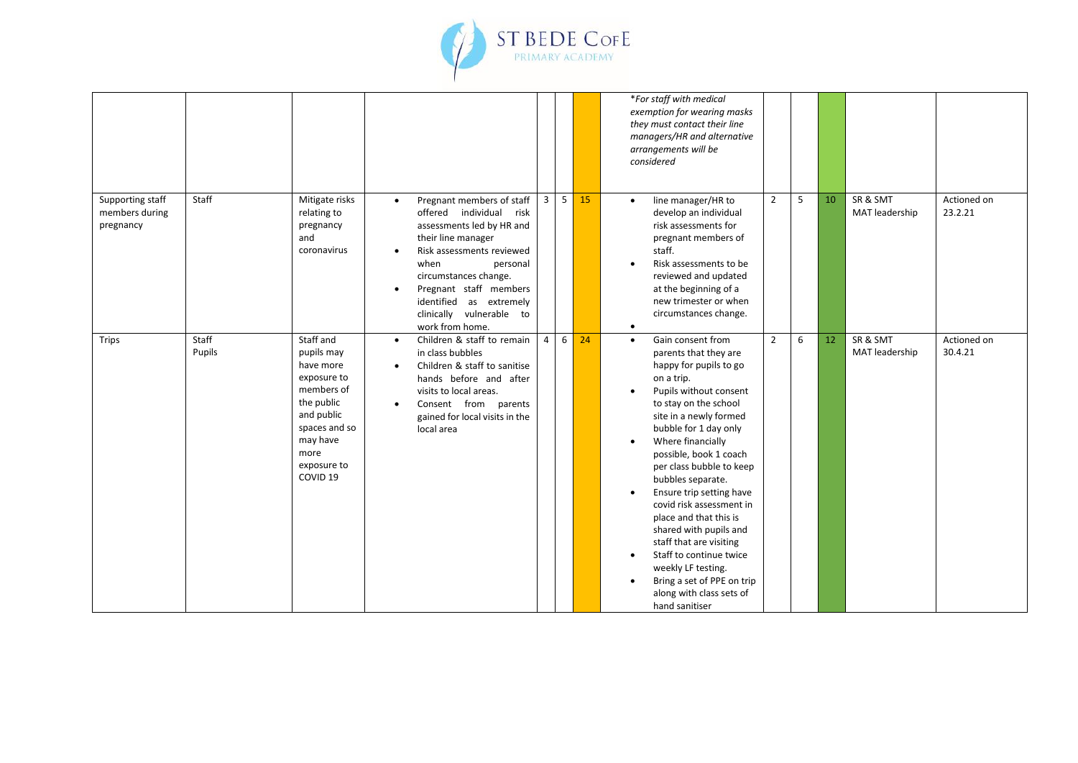

|                                                 |                 |                                                                                                                                                                          |                                     |                                                                                                                                                                                                                                                                                       |                |            |    | *For staff with medical<br>exemption for wearing masks<br>they must contact their line<br>managers/HR and alternative<br>arrangements will be<br>considered                                                                                                                                                                                                                                                                                                                                                                                                                                                                                                                                           |
|-------------------------------------------------|-----------------|--------------------------------------------------------------------------------------------------------------------------------------------------------------------------|-------------------------------------|---------------------------------------------------------------------------------------------------------------------------------------------------------------------------------------------------------------------------------------------------------------------------------------|----------------|------------|----|-------------------------------------------------------------------------------------------------------------------------------------------------------------------------------------------------------------------------------------------------------------------------------------------------------------------------------------------------------------------------------------------------------------------------------------------------------------------------------------------------------------------------------------------------------------------------------------------------------------------------------------------------------------------------------------------------------|
| Supporting staff<br>members during<br>pregnancy | Staff           | Mitigate risks<br>relating to<br>pregnancy<br>and<br>coronavirus                                                                                                         | $\bullet$<br>$\bullet$<br>$\bullet$ | Pregnant members of staff<br>offered individual risk<br>assessments led by HR and<br>their line manager<br>Risk assessments reviewed<br>when<br>personal<br>circumstances change.<br>Pregnant staff members<br>identified as extremely<br>clinically vulnerable to<br>work from home. |                | $3 \mid 5$ | 15 | SR & SMT<br>10<br>Actioned on<br>$\overline{2}$<br>5<br>line manager/HR to<br>$\bullet$<br>23.2.21<br>MAT leadership<br>develop an individual<br>risk assessments for<br>pregnant members of<br>staff.<br>Risk assessments to be<br>reviewed and updated<br>at the beginning of a<br>new trimester or when<br>circumstances change.<br>$\bullet$                                                                                                                                                                                                                                                                                                                                                      |
| <b>Trips</b>                                    | Staff<br>Pupils | Staff and<br>pupils may<br>have more<br>exposure to<br>members of<br>the public<br>and public<br>spaces and so<br>may have<br>more<br>exposure to<br>COVID <sub>19</sub> | $\bullet$<br>$\bullet$              | Children & staff to remain<br>in class bubbles<br>Children & staff to sanitise<br>hands before and after<br>visits to local areas.<br>Consent from parents<br>gained for local visits in the<br>local area                                                                            | $\overline{4}$ | 6          | 24 | SR & SMT<br>$\overline{2}$<br>6<br>12<br>Actioned on<br>Gain consent from<br>$\bullet$<br>MAT leadership<br>30.4.21<br>parents that they are<br>happy for pupils to go<br>on a trip.<br>Pupils without consent<br>to stay on the school<br>site in a newly formed<br>bubble for 1 day only<br>Where financially<br>$\bullet$<br>possible, book 1 coach<br>per class bubble to keep<br>bubbles separate.<br>Ensure trip setting have<br>$\bullet$<br>covid risk assessment in<br>place and that this is<br>shared with pupils and<br>staff that are visiting<br>Staff to continue twice<br>$\bullet$<br>weekly LF testing.<br>Bring a set of PPE on trip<br>along with class sets of<br>hand sanitiser |